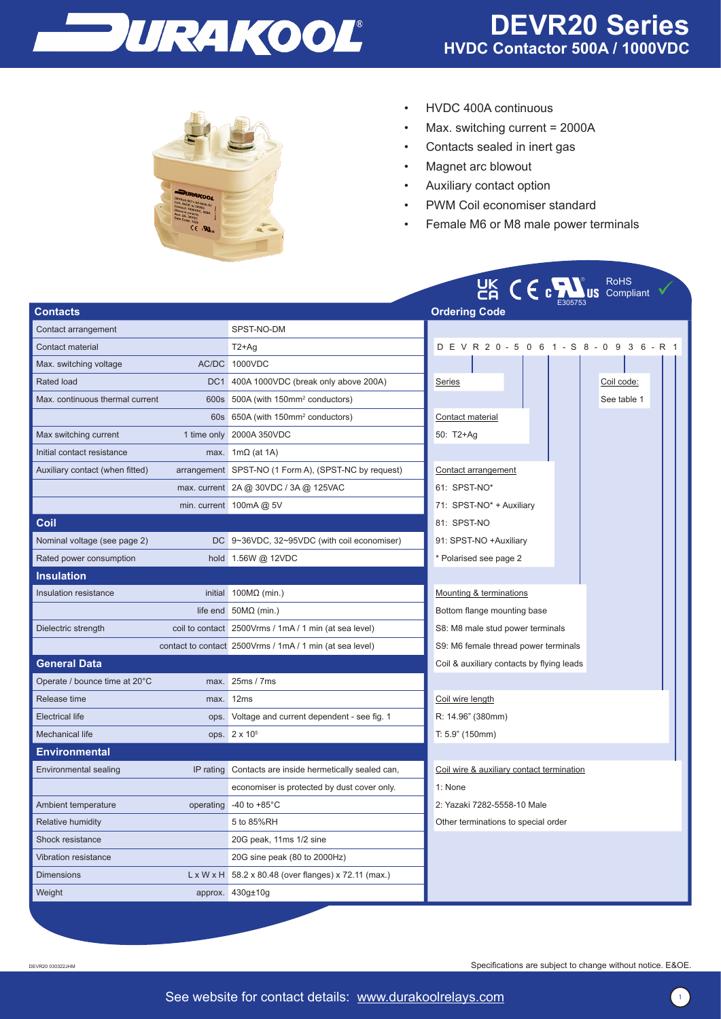



- HVDC 400A continuous
- Max. switching current = 2000A
- Contacts sealed in inert gas
- Magnet arc blowout
- Auxiliary contact option
- PWM Coil economiser standard
- Female M6 or M8 male power terminals

|                                 |           |                                                                  | <b>LIK CECAL</b> US Compliant               |  |  |  |  |
|---------------------------------|-----------|------------------------------------------------------------------|---------------------------------------------|--|--|--|--|
| Contacts                        |           |                                                                  | <b>Ordering Code</b>                        |  |  |  |  |
| Contact arrangement             |           | SPST-NO-DM                                                       |                                             |  |  |  |  |
| Contact material                |           | $T2+Aq$                                                          | D E V R 2 0 - 5 0 6 1 - S 8 - 0 9 3 6 - R 1 |  |  |  |  |
| Max. switching voltage          |           | AC/DC 1000VDC                                                    |                                             |  |  |  |  |
| <b>Rated load</b>               |           | DC1 400A 1000VDC (break only above 200A)                         | <b>Series</b><br>Coil code:                 |  |  |  |  |
| Max. continuous thermal current |           | 600s 500A (with 150mm <sup>2</sup> conductors)                   | See table 1                                 |  |  |  |  |
|                                 |           | 60s 650A (with 150mm <sup>2</sup> conductors)                    | Contact material                            |  |  |  |  |
| Max switching current           |           | 1 time only 2000A 350VDC                                         | 50: T2+Ag                                   |  |  |  |  |
| Initial contact resistance      |           | max. $1m\Omega$ (at 1A)                                          |                                             |  |  |  |  |
| Auxiliary contact (when fitted) |           | arrangement SPST-NO (1 Form A), (SPST-NC by request)             | Contact arrangement                         |  |  |  |  |
|                                 |           | max. current 2A @ 30VDC / 3A @ 125VAC                            | 61: SPST-NO*                                |  |  |  |  |
|                                 |           | min. current $100 \text{mA}$ @ 5V                                | 71: SPST-NO* + Auxiliary                    |  |  |  |  |
| Coil                            |           |                                                                  | 81: SPST-NO                                 |  |  |  |  |
| Nominal voltage (see page 2)    |           | DC 9~36VDC, 32~95VDC (with coil economiser)                      | 91: SPST-NO +Auxiliary                      |  |  |  |  |
| Rated power consumption         |           | hold 1.56W @ 12VDC                                               | * Polarised see page 2                      |  |  |  |  |
| <b>Insulation</b>               |           |                                                                  |                                             |  |  |  |  |
| Insulation resistance           |           | initial $100M\Omega$ (min.)                                      | Mounting & terminations                     |  |  |  |  |
|                                 |           | life end $50M\Omega$ (min.)                                      | Bottom flange mounting base                 |  |  |  |  |
| Dielectric strength             |           | coil to contact 2500Vrms / 1mA / 1 min (at sea level)            | S8: M8 male stud power terminals            |  |  |  |  |
|                                 |           | contact to contact 2500Vrms / 1mA / 1 min (at sea level)         | S9: M6 female thread power terminals        |  |  |  |  |
| <b>General Data</b>             |           |                                                                  | Coil & auxiliary contacts by flying leads   |  |  |  |  |
| Operate / bounce time at 20°C   | max.      | 25ms / 7ms                                                       |                                             |  |  |  |  |
| Release time                    | max.      | 12ms                                                             | Coil wire length                            |  |  |  |  |
| <b>Electrical life</b>          |           | ops. Voltage and current dependent - see fig. 1                  | R: 14.96" (380mm)                           |  |  |  |  |
| <b>Mechanical life</b>          |           | ops. 2 x 10 <sup>5</sup>                                         | T: 5.9" (150mm)                             |  |  |  |  |
| <b>Environmental</b>            |           |                                                                  |                                             |  |  |  |  |
| Environmental sealing           | IP rating | Contacts are inside hermetically sealed can,                     | Coil wire & auxiliary contact termination   |  |  |  |  |
|                                 |           | economiser is protected by dust cover only.                      | 1: None                                     |  |  |  |  |
| Ambient temperature             | operating | -40 to $+85^{\circ}$ C                                           | 2: Yazaki 7282-5558-10 Male                 |  |  |  |  |
| <b>Relative humidity</b>        |           | 5 to 85%RH                                                       | Other terminations to special order         |  |  |  |  |
| Shock resistance                |           | 20G peak, 11ms 1/2 sine                                          |                                             |  |  |  |  |
| Vibration resistance            |           | 20G sine peak (80 to 2000Hz)                                     |                                             |  |  |  |  |
| <b>Dimensions</b>               |           | $L \times W \times H$ 58.2 x 80.48 (over flanges) x 72.11 (max.) |                                             |  |  |  |  |
| Weight                          |           | approx. 430g±10g                                                 |                                             |  |  |  |  |

DEVR20 030322JHM